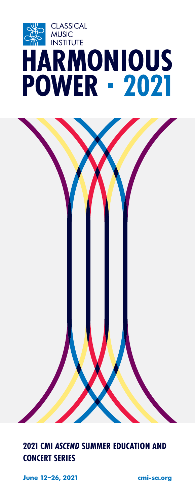

### **2021 CMI** *ASCEND* **SUMMER EDUCATION AND CONCERT SERIES**

**June 12–26, 2021 [cmi-sa.org](https://www.cmi-sa.org/)**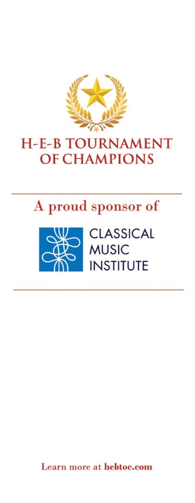

# **H-E-B TOURNAMENT OF CHAMPIONS**





Learn more at hebtoc.com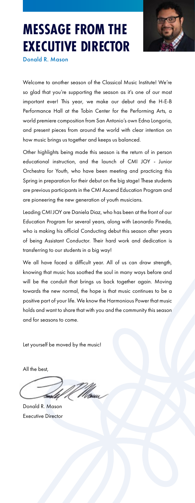

# **MESSAGE FROM THE EXECUTIVE DIRECTOR**

Donald R. Mason

Welcome to another season of the Classical Music Institute! We're so glad that you're supporting the season as it's one of our most important ever! This year, we make our debut and the H-E-B Performance Hall at the Tobin Center for the Performing Arts, a world premiere composition from San Antonio's own Edna Longoria, and present pieces from around the world with clear intention on how music brings us together and keeps us balanced.

Other highlights being made this season is the return of in person educational instruction, and the launch of CMI JOY - Junior Orchestra for Youth, who have been meeting and practicing this Spring in preparation for their debut on the big stage! These students are previous participants in the CMI Ascend Education Program and are pioneering the new generation of youth musicians.

Leading CMI JOY are Daniela Diaz, who has been at the front of our Education Program for several years, along with Leonardo Pineda, who is making his official Conducting debut this season after years of being Assistant Conductor. Their hard work and dedication is transferring to our students in a big way!

We all have faced a difficult year. All of us can draw strength, knowing that music has soothed the soul in many ways before and will be the conduit that brings us back together again. Moving towards the new normal, the hope is that music continues to be a positive part of your life. We know the Harmonious Power that music holds and want to share that with you and the community this season and for seasons to come.

Let yourself be moved by the music!

All the best,

6molf,

Donald R. Mason Executive Director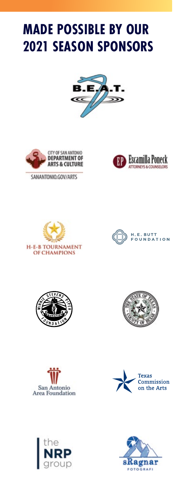# **MADE POSSIBLE BY OUR 2021 SEASON SPONSORS**





SANANTONIO.GOV/ARTS

















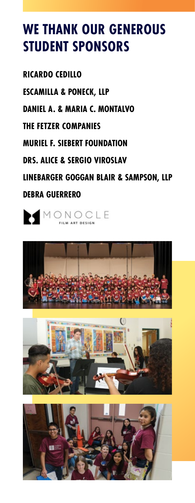# **WE THANK OUR GENEROUS STUDENT SPONSORS**

**RICARDO CEDILLO**

**ESCAMILLA & PONECK, LLP**

**DANIEL A. & MARIA C. MONTALVO**

**THE FETZER COMPANIES**

**MURIEL F. SIEBERT FOUNDATION**

**DRS. ALICE & SERGIO VIROSLAV**

**LINEBARGER GOGGAN BLAIR & SAMPSON, LLP DEBRA GUERRERO**

MONOCLE





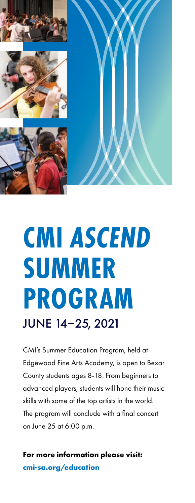







# **CMI** *ASCEND*  **SUMMER PROGRAM**  JUNE 14–25, 2021

CMI's Summer Education Program, held at Edgewood Fine Arts Academy, is open to Bexar County students ages 8-18. From beginners to advanced players, students will hone their music skills with some of the top artists in the world. The program will conclude with a final concert on June 25 at 6:00 p.m.

**For more information please visit: [cmi-sa.org/education](https://www.cmi-sa.org/education/)**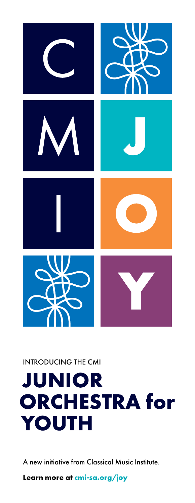

INTRODUCING THE CMI

# **JUNIOR ORCHESTRA for YOUTH**

A new initiative from Classical Music Institute.

**Learn more at [cmi-sa.org/joy](https://www.cmi-sa.org/joy/)**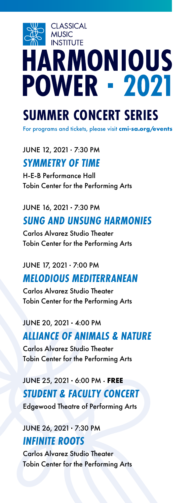# **CLASSICAL MUSIC INSTITUTE HARMONIOUS POWER - 2021**

# **SUMMER CONCERT SERIES**

For programs and tickets, please visit **[cmi-sa.org/events](https://www.cmi-sa.org/events/)**

JUNE 12, 2021 7:30 PM *SYMMETRY OF TIME*

H-E-B Performance Hall Tobin Center for the Performing Arts

## JUNE 16, 2021 7:30 PM *SUNG AND UNSUNG HARMONIES*

Carlos Alvarez Studio Theater Tobin Center for the Performing Arts

### JUNE 17, 2021 7:00 PM

## *MELODIOUS MEDITERRANEAN*

Carlos Alvarez Studio Theater Tobin Center for the Performing Arts

#### JUNE 20, 2021 4:00 PM

## *ALLIANCE OF ANIMALS & NATURE*

Carlos Alvarez Studio Theater Tobin Center for the Performing Arts

# JUNE 25, 2021 6:00 PM **FREE** *STUDENT & FACULTY CONCERT*

Edgewood Theatre of Performing Arts

### JUNE 26, 2021 7:30 PM *INFINITE ROOTS*

Carlos Alvarez Studio Theater Tobin Center for the Performing Arts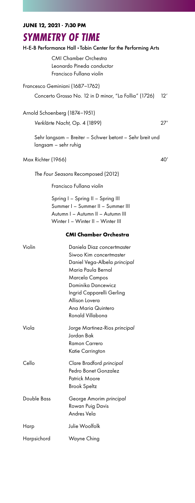**JUNE 12, 2021 7:30 PM**

### *SYMMETRY OF TIME*

#### H-E-B Performance Hall Tobin Center for the Performing Arts

CMI Chamber Orchestra Leonardo Pineda *conductor* Francisco Fullana *violin*

#### Francesco Geminiani (1687–1762) Concerto Grosso No. 12 in D minor, "La Follia" (1726) 12'

Arnold Schoenberg (1874–1951)

*Verklärte Nacht*, Op. 4 (1899) 27'

Sehr langsam – Breiter – Schwer betont – Sehr breit und langsam – sehr ruhig

#### Max Richter (1966) 40'

*The Four Seasons* Recomposed (2012)

Francisco Fullana *violin*

Spring I – Spring II – Spring III Summer I – Summer II – Summer III Autumn I – Autumn II – Autumn III Winter I – Winter II – Winter III

#### **CMI Chamber Orchestra**

| Violin      | Daniela Diaz concertmaster    |
|-------------|-------------------------------|
|             | Siwoo Kim concertmaster       |
|             | Daniel Vega-Albela principal  |
|             | Maria Paula Bernal            |
|             | Marcela Campos                |
|             | Dominika Dancewicz            |
|             | Ingrid Capparelli Gerling     |
|             | Allison Lovera                |
|             | Ana Maria Quintero            |
|             | Ronald Villabona              |
| Viola       | Jorge Martinez-Rios principal |
|             | Jordan Bak                    |
|             | Ramon Carrero                 |
|             | Katie Carrington              |
| Cello       | Clare Bradford principal      |
|             | Pedro Bonet Gonzalez          |
|             | Patrick Moore                 |
|             | Brook Speltz                  |
| Double Bass | George Amorim principal       |
|             | Rowan Puig Davis              |
|             | Andres Vela                   |
| Harp        | Julie Woolfolk                |
| Harpsichord | Wayne Ching                   |
|             |                               |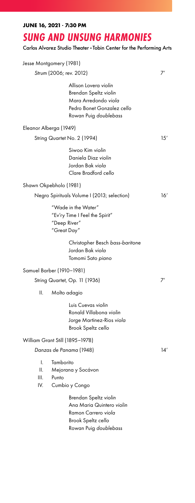| <b>SUNG AND UNSUNG HARMONIES</b><br>Carlos Alvarez Studio Theater · Tobin Center for the Performing Arts |                                                                                                                               |     |
|----------------------------------------------------------------------------------------------------------|-------------------------------------------------------------------------------------------------------------------------------|-----|
|                                                                                                          | Jesse Montgomery (1981)                                                                                                       |     |
|                                                                                                          | Strum (2006; rev. 2012)                                                                                                       | 7'  |
|                                                                                                          | Allison Lovera violin<br>Brendan Speltz violin<br>Mara Arredondo viola<br>Pedro Bonet Gonzalez cello<br>Rowan Puig doublebass |     |
|                                                                                                          | Eleanor Alberga (1949)                                                                                                        |     |
|                                                                                                          | String Quartet No. 2 (1994)                                                                                                   | 15' |
|                                                                                                          | Siwoo Kim violin<br>Daniela Diaz violin<br>Jordan Bak viola<br>Clare Bradford cello                                           |     |
|                                                                                                          | Shawn Okpebholo (1981)                                                                                                        |     |
|                                                                                                          | Negro Spirituals Volume I (2013; selection)                                                                                   | 16' |
|                                                                                                          | "Wade in the Water"<br>"Ev'ry Time I Feel the Spirit"<br>"Deep River"<br>"Great Day"                                          |     |
|                                                                                                          | Christopher Besch bass-baritone<br>Jordan Bak viola<br>Tomomi Sato piano                                                      |     |
|                                                                                                          | Samuel Barber (1910–1981)                                                                                                     |     |
|                                                                                                          | String Quartet, Op. 11 (1936)                                                                                                 | 7'  |
| ΙΙ.                                                                                                      | Molto adagio                                                                                                                  |     |
|                                                                                                          | Luis Cuevas violin<br>Ronald Villabona violin<br>Jorge Martinez-Rios viola<br>Brook Speltz cello                              |     |
|                                                                                                          | William Grant Still (1895-1978)                                                                                               |     |
|                                                                                                          | Danzas de Panama (1948)                                                                                                       | 14' |
| I.<br>ΙΙ.<br>III.<br>IV.                                                                                 | Tamborito<br>Mejorana y Socávon<br>Punto<br>Cumbio y Congo                                                                    |     |
|                                                                                                          | Brendan Speltz violin<br>Ana Maria Quintero violin<br>Ramon Carrero viola<br>Brook Speltz cello<br>Rowan Puig doublebass      |     |

**JUNE 16, 2021 7:30 PM**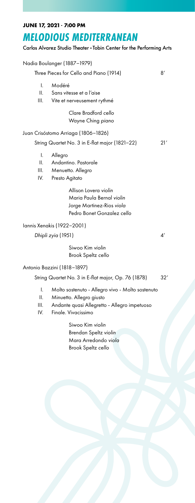#### **JUNE 17, 2021 7:00 PM**

# *MELODIOUS MEDITERRANEAN*

Carlos Alvarez Studio Theater Tobin Center for the Performing Arts

|                                                            | Nadia Boulanger (1887-1979)                                                                                                                         |                |
|------------------------------------------------------------|-----------------------------------------------------------------------------------------------------------------------------------------------------|----------------|
| Three Pieces for Cello and Piano (1914)<br>8'              |                                                                                                                                                     |                |
| I.<br>11.<br>III.                                          | Modéré<br>Sans vitesse et a l'aise<br>Vite et nerveusement rythmé                                                                                   |                |
|                                                            | Clare Bradford cello<br>Wayne Ching piano                                                                                                           |                |
| Juan Crisóstomo Arriaga (1806–1826)                        |                                                                                                                                                     |                |
| String Quartet No. 3 in E-flat major (1821-22)             |                                                                                                                                                     | 21'            |
| I.<br>Ш.<br>III.<br>IV.                                    | Allegro<br>Andantino, Pastorale<br>Menuetto. Allegro<br>Presto Agitato                                                                              |                |
|                                                            | Allison Lovera violin<br>Maria Paula Bernal violin<br>Jorge Martinez-Rios viola<br>Pedro Bonet Gonzalez cello                                       |                |
| Iannis Xenakis (1922-2001)                                 |                                                                                                                                                     |                |
| Dhipli zyia (1951)                                         |                                                                                                                                                     | $\mathcal{A}'$ |
|                                                            | Siwoo Kim violin<br>Brook Speltz cello                                                                                                              |                |
| Antonio Bazzini (1818-1897)                                |                                                                                                                                                     |                |
| String Quartet No. 3 in E-flat major, Op. 76 (1878)<br>32' |                                                                                                                                                     |                |
| I.<br>ΙΙ.<br>III.<br>IV.                                   | Molto sostenuto - Allegro vivo - Molto sostenuto<br>Minuetto. Allegro giusto<br>Andante quasi Allegretto - Allegro impetuoso<br>Finale, Vivacissimo |                |
|                                                            | Siwoo Kim violin<br>Brendan Speltz violin<br>Mara Arredondo viola<br>Brook Speltz cello                                                             |                |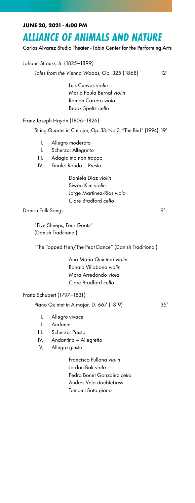#### **JUNE 20, 2021 4:00 PM**

### *ALLIANCE OF ANIMALS AND NATURE*

Carlos Alvarez Studio Theater Tobin Center for the Performing Arts

Johann Strauss, Jr. (1825–1899)

*Tales from the Vienna Woods*, Op. 325 (1868) 12'

 Luis Cuevas *violin* Maria Paula Bernal *violin* Ramon Carrero *viola* Brook Speltz *cello*

Franz Joseph Haydn (1806–1826)

String Quartet in C major, Op. 33, No.3, "The Bird" (1994) 19'

- I. Allegro moderato
- II. Scherzo: Allegretto
- III. Adagio ma non troppo
- IV. Finale: Rondo Presto

 Daniela Diaz *violin* Siwoo Kim *violin* Jorge Martinez-Rios *viola* Clare Bradford *cello*

Danish Folk Songs 9'

"Five Sheeps, Four Goats" (Danish Traditional)

"The Topped Hen/The Peat Dance" (Danish Traditional)

 Ana Maria Quintero *violin* Ronald Villabona *violin* Mara Arredondo *viola* Clare Bradford *cello*

Franz Schubert (1797–1831)

Piano Quintet in A major, D. 667 (1819) 35'

- I. Allegro vivace
- II. Andante
- III. Scherzo: Presto
- IV. Andantino Allegretto
- V. Allegro giusto

 Francisco Fullana *violin* Jordan Bak *viola* Pedro Bonet Gonzalez *cello* Andres Vela *doublebass* Tomomi Sato *piano*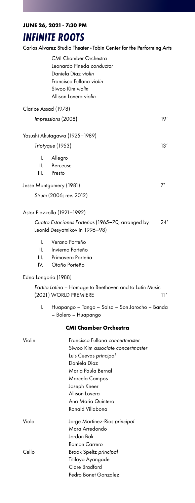**JUNE 26, 2021 7:30 PM**

### *INFINITE ROOTS*

Carlos Alvarez Studio Theater Tobin Center for the Performing Arts

CMI Chamber Orchestra Leonardo Pineda *conductor* Daniela Diaz *violin* Francisco Fullana *violin* Siwoo Kim *violin* Allison Lovera *violin*

| Clarice Assad (1978) |     |
|----------------------|-----|
| Impressions (2008)   | 10′ |

#### Yasushi Akutagawa (1925–1989)

#### *Triptyque* (1953) 13'

- I. Allegro
- II. Berceuse
- III. Presto

#### Jesse Montgomery (1981) 7'

*Strum* (2006; rev. 2012)

#### Astor Piazzolla (1921–1992)

*Cuatro Estaciones Porteñas* (1965–70; arranged by 24' Leonid Desyatnikov in 1996–98)

- I. Verano Porteño
- II. Invierno Porteño
- III. Primavera Porteña
- IV. Otoño Porteño

#### Edna Longoria (1988)

*Partita Latina* – Homage to Beethoven and to Latin Music (2021) WORLD PREMIERE 11'

I. Huapango – Tango – Salsa – Son Jarocho – Banda – Bolero – Huapango

#### **CMI Chamber Orchestra**

| Violin | Francisco Fullana concertmaster   |
|--------|-----------------------------------|
|        | Siwoo Kim associate concertmaster |
|        | Luis Cuevas principal             |
|        | Daniela Diaz                      |
|        | Maria Paula Bernal                |
|        | Marcela Campos                    |
|        | Joseph Kneer                      |
|        | Allison Lovera                    |
|        | Ana Maria Quintero                |
|        | Ronald Villabona                  |
| Viola  | Jorge Martinez-Rios principal     |
|        | Mara Arredondo                    |
|        | Jordan Bak                        |
|        | Ramon Carrero                     |
| Cello  | Brook Speltz principal            |
|        | Titilayo Ayangade                 |
|        | Clare Bradford                    |
|        | Pedro Bonet Gonzalez              |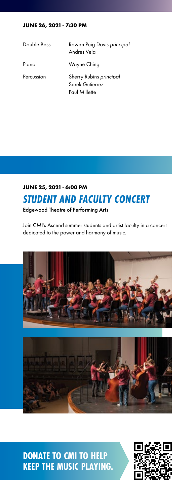#### **JUNE 26, 2021 7:30 PM**

| Double Bass | Rowan Puig Davis principal<br>Andres Vela                   |
|-------------|-------------------------------------------------------------|
| Piano       | Wayne Ching                                                 |
| Percussion  | Sherry Rubins principal<br>Sarek Gutierrez<br>Paul Millette |

## *STUDENT AND FACULTY CONCERT* **JUNE 25, 2021 6:00 PM**

Edgewood Theatre of Performing Arts

Join CMI's Ascend summer students and artist faculty in a concert dedicated to the power and harmony of music.





**DONATE TO CMI TO HELP KEEP THE MUSIC PLAYING.**

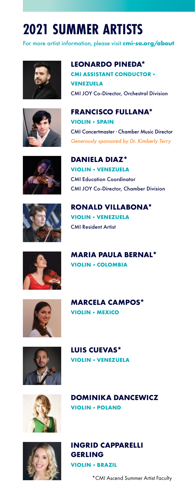# **2021 SUMMER ARTISTS**

For more artist information, please visit **[cmi-sa.org/about](https://www.cmi-sa.org/about/)**













**LUIS CUEVAS\* VIOLIN · VENEZUELA** 

**VIOLIN - POLAND** 

**VIOLIN · MEXICO** 





**INGRID CAPPARELLI GERLING VIOLIN · BRAZIL** 

**DOMINIKA DANCEWICZ**

\*CMI Ascend Summer Artist Faculty

**LEONARDO PINEDA\* CMI ASSISTANT CONDUCTOR VENEZUELA** CMI JOY Co-Director, Orchestral Division

**FRANCISCO FULLANA\* VIOLIN · SPAIN** CMI Concertmaster Chamber Music Director *Generously sponsored by Dr. Kimberly Terry*

**DANIELA DIAZ\* VIOLIN · VENEZUELA** CMI Education Coordinator CMI JOY Co-Director, Chamber Division

**RONALD VILLABONA\* VIOLIN · VENEZUELA** CMI Resident Artist

**VIOLIN - COLOMBIA** 

**MARCELA CAMPOS\***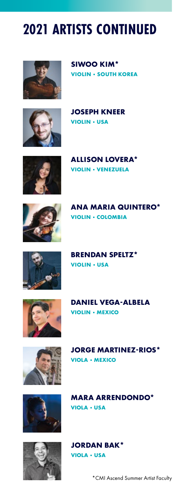# **2021 ARTISTS CONTINUED**



**SIWOO KIM\* VIOLIN - SOUTH KOREA** 



**JOSEPH KNEER VIOLIN · USA** 



**ALLISON LOVERA\* VIOLIN · VENEZUELA** 



**ANA MARIA QUINTERO\* VIOLIN - COLOMBIA** 



**BRENDAN SPELTZ\* VIOLIN · USA** 



**DANIEL VEGA-ALBELA VIOLIN · MEXICO** 



**JORGE MARTINEZ-RIOS\* VIOLA · MEXICO** 

**MARA ARRENDONDO\***





**VIOLA - USA** 

\*CMI Ascend Summer Artist Faculty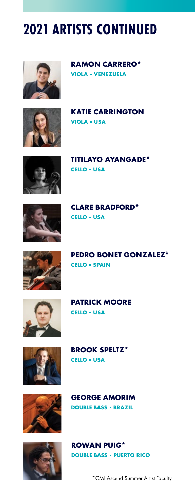# **2021 ARTISTS CONTINUED**



**RAMON CARRERO\* VIOLA · VENEZUELA** 



**KATIE CARRINGTON VIOLA · USA** 



**TITILAYO AYANGADE\* CELLO · USA** 



**CLARE BRADFORD\* CELLO - USA** 



**PEDRO BONET GONZALEZ\* CELLO - SPAIN** 



**PATRICK MOORE CELLO · USA** 



**BROOK SPELTZ\* CELLO - USA** 



**GEORGE AMORIM DOUBLE BASS · BRAZIL** 



**ROWAN PUIG\* DOUBLE BASS · PUERTO RICO** 

\*CMI Ascend Summer Artist Faculty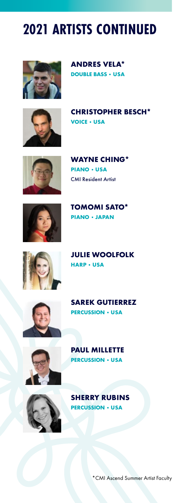# **2021 ARTISTS CONTINUED**



**ANDRES VELA\* DOUBLE BASS · USA** 



**CHRISTOPHER BESCH\* VOICE - USA** 



**WAYNE CHING\* PIANO · USA** CMI Resident Artist



**TOMOMI SATO\* PIANO JAPAN**



**JULIE WOOLFOLK HARP · USA** 



**SAREK GUTIERREZ PERCUSSION - USA** 



**PAUL MILLETTE PERCUSSION - USA** 



**SHERRY RUBINS PERCUSSION · USA** 

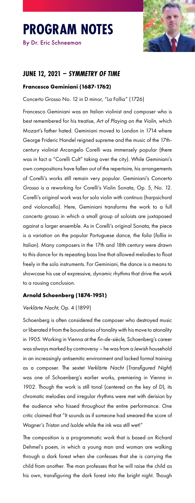# **PROGRAM NOTES**

By Dr. Eric Schneeman



#### **JUNE 12, 2021 –** *SYMMETRY OF TIME*

#### **Francesco Geminiani (1687-1762)**

Concerto Grosso No. 12 in D minor, "La Follia" (1726)

Francesco Geminiani was an Italian violinist and composer who is best remembered for his treatise, *Art of Playing on the Violin*, which Mozart's father hated. Geminiani moved to London in 1714 where George Frideric Handel reigned supreme and the music of the 17thcentury violinist Arcangelo Corelli was immensely popular (there was in fact a "Corelli Cult" taking over the city). While Geminiani's own compositions have fallen out of the repertoire, his arrangements of Corelli's works still remain very popular. Geminiani's *Concerto Grosso* is a reworking for Corelli's Violin Sonata, Op. 5, No. 12. Corelli's original work was for solo violin with continuo (harpsichord and violoncello). Here, Geminiani transforms the work to a full *concerto grosso* in which a small group of soloists are juxtaposed against a larger ensemble. As in Corelli's original Sonata, the piece is a variation on the popular Portuguese dance, the *folia* (*follia* in Italian). Many composers in the 17th and 18th century were drawn to this dance for its repeating bass line that allowed melodies to float freely in the solo instruments. For Geminiani, the dance is a means to showcase his use of expressive, dynamic rhythms that drive the work to a rousing conclusion.

#### **Arnold Schoenberg (1874-1951)**

#### *Verklärte Nacht*, Op. 4 (1899)

Schoenberg is often considered the composer who destroyed music or liberated it from the boundaries of tonality with his move to atonality in 1905. Working in Vienna at the *fin-de-siècle*, Schoenberg's career was always marked by controversy – he was from a Jewish household in an increasingly antisemitic environment and lacked formal training as a composer. The sextet *Verklärte Nacht* (*Transfigured Night*) was one of Schoenberg's earlier works, premiering in Vienna in 1902. Though the work is still tonal (centered on the key of D), its chromatic melodies and irregular rhythms were met with derision by the audience who hissed throughout the entire performance. One critic claimed that "It sounds as if someone had smeared the score of Wagner's *Tristan und Isolde* while the ink was still wet!"

The composition is a programmatic work that is based on Richard Dehmel's poem, in which a young man and woman are walking through a dark forest when she confesses that she is carrying the child from another. The man professes that he will raise the child as his own, transfiguring the dark forest into the bright night. Though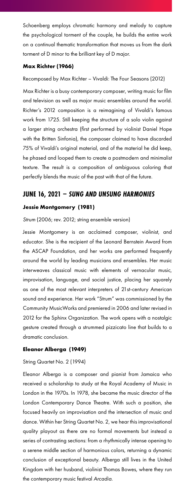Schoenberg employs chromatic harmony and melody to capture the psychological torment of the couple, he builds the entire work on a continual thematic transformation that moves us from the dark torment of D minor to the brilliant key of D major.

#### **Max Richter (1966)**

Recomposed by Max Richter – Vivaldi: The Four Seasons (2012)

Max Richter is a busy contemporary composer, writing music for film and television as well as major music ensembles around the world. Richter's 2012 composition is a reimagining of Vivaldi's famous work from 1725. Still keeping the structure of a solo violin against a larger string orchestra (first performed by violinist Daniel Hope with the Britten Sinfonia), the composer claimed to have discarded 75% of Vivaldi's original material, and of the material he did keep, he phased and looped them to create a postmodern and minimalist texture. The result is a composition of ambiguous coloring that perfectly blends the music of the past with that of the future.

#### **JUNE 16, 2021 –** *SUNG AND UNSUNG HARMONIES*

#### **Jessie Montgomery (1981)**

#### *Strum* (2006; rev. 2012; string ensemble version)

Jessie Montgomery is an acclaimed composer, violinist, and educator. She is the recipient of the Leonard Bernstein Award from the ASCAP Foundation, and her works are performed frequently around the world by leading musicians and ensembles. Her music interweaves classical music with elements of vernacular music, improvisation, language, and social justice, placing her squarely as one of the most relevant interpreters of 21st-century American sound and experience. Her work "Strum" was commissioned by the Community MusicWorks and premiered in 2006 and later revised in 2012 for the Sphinx Organization. The work opens with a nostalgic gesture created through a strummed pizzicato line that builds to a dramatic conclusion.

#### **Eleanor Alberga (1949)**

#### String Quartet No. 2 (1994)

Eleanor Alberga is a composer and pianist from Jamaica who received a scholarship to study at the Royal Academy of Music in London in the 1970s. In 1978, she became the music director of the London Contemporary Dance Theatre. With such a position, she focused heavily on improvisation and the intersection of music and dance. Within her String Quartet No. 2, we hear this improvisational quality playout as there are no formal movements but instead a series of contrasting sections: from a rhythmically intense opening to a serene middle section of harmonious colors, returning a dynamic conclusion of exceptional beauty. Alberga still lives in the United Kingdom with her husband, violinist Thomas Bowes, where they run the contemporary music festival *Arcadia*.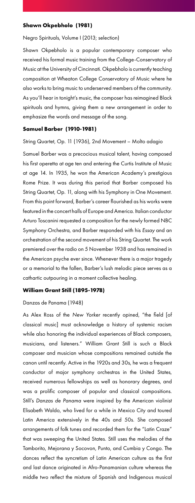#### **Shawn Okpebholo (1981)**

#### Negro Spirituals, Volume I (2013; selection)

Shawn Okpebholo is a popular contemporary composer who received his formal music training from the College-Conservatory of Music at the University of Cincinnati. Okpebholo is currently teaching composition at Wheaton College Conservatory of Music where he also works to bring music to underserved members of the community. As you'll hear in tonight's music, the composer has reimagined Black spirituals and hymns, giving them a new arrangement in order to emphasize the words and message of the song.

#### **Samuel Barber (1910-1981)**

String Quartet, Op. 11 (1936), 2nd Movement – Molto adagio

Samuel Barber was a precocious musical talent, having composed his first operetta at age ten and entering the Curtis Institute of Music at age 14. In 1935, he won the American Academy's prestigious Rome Prize. It was during this period that Barber composed his String Quartet, Op. 11, along with his Symphony in One Movement. From this point forward, Barber's career flourished as his works were featured in the concert halls of Europe and America. Italian conductor Arturo Toscanini requested a composition for the newly formed NBC Symphony Orchestra, and Barber responded with his *Essay* and an orchestration of the second movement of his String Quartet. The work premiered over the radio on 5 November 1938 and has remained in the American psyche ever since. Whenever there is a major tragedy or a memorial to the fallen, Barber's lush melodic piece serves as a cathartic outpouring in a moment collective healing.

#### **William Grant Still (1895-1978)**

#### Danzas de Panama (1948)

As Alex Ross of the *New Yorker* recently opined, "the field [of classical music] must acknowledge a history of systemic racism while also honoring the individual experiences of Black composers, musicians, and listeners." William Grant Still is such a Black composer and musician whose compositions remained outside the canon until recently. Active in the 1920s and 30s, he was a frequent conductor of major symphony orchestras in the United States, received numerous fellowships as well as honorary degrees, and was a prolific composer of popular and classical compositions. Still's *Danzas de Panama* were inspired by the American violinist Elisabeth Waldo, who lived for a while in Mexico City and toured Latin America extensively in the 40s and 50s. She composed arrangements of folk tunes and recorded them for the "Latin Craze" that was sweeping the United States. Still uses the melodies of the Tamborito, Mejorana y Socovon, Punto, and Cumbia y Congo. The dances reflect the syncretism of Latin American culture as the first and last dance originated in Afro-Panamanian culture whereas the middle two reflect the mixture of Spanish and Indigenous musical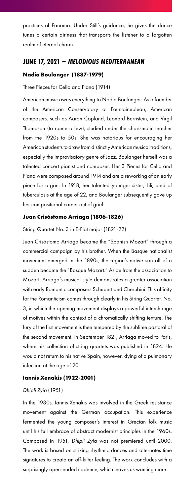practices of Panama. Under Still's guidance, he gives the dance tunes a certain airiness that transports the listener to a forgotten realm of eternal charm.

#### **JUNE 17, 2021 –** *MELODIOUS MEDITERRANEAN*

#### **Nadia Boulanger (1887-1979)**

Three Pieces for Cello and Piano (1914)

American music owes everything to Nadia Boulanger: As a founder of the American Conservatory at Fountainebleau, American composers, such as Aaron Copland, Leonard Bernstein, and Virgil Thompson (to name a few), studied under the charismatic teacher from the 1920s to 50s. She was notorious for encouraging her American students to draw from distinctly American musical traditions, especially the improvisatory genre of Jazz. Boulanger herself was a talented concert pianist and composer. Her 3 Pieces for Cello and Piano were composed around 1914 and are a reworking of an early piece for organ. In 1918, her talented younger sister, Lili, died of tuberculosis at the age of 22, and Boulanger subsequently gave up her compositional career out of grief.

#### **Juan Crisóstomo Arriaga (1806-1826)**

String Quartet No. 3 in E-Flat major (1821-22)

Juan Crisóstomo Arriaga became the "Spanish Mozart" through a commercial campaign by his brother. When the Basque nationalist movement emerged in the 1890s, the region's native son all of a sudden became the "Basque Mozart." Aside from the association to Mozart, Arriaga's musical style demonstrates a greater association with early Romantic composers Schubert and Cherubini. This affinity for the Romanticism comes through clearly in his String Quartet, No. 3, in which the opening movement displays a powerful interchange of motives within the context of a chromatically shifting texture. The fury of the first movement is then tempered by the sublime pastoral of the second movement. In September 1821, Arriaga moved to Paris, where his collection of string quartets was published in 1824. He would not return to his native Spain, however, dying of a pulmonary infection at the age of 20.

#### **Iannis Xenakis (1922-2001)**

#### *Dhipli Zyia* (1951)

In the 1930s, Iannis Xenakis was involved in the Greek resistance movement against the German occupation. This experience fermented the young composer's interest in Grecian folk music until his full embrace of abstract modernist principles in the 1960s. Composed in 1951, *Dhipli Zyia* was not premiered until 2000. The work is based on striking rhythmic dances and alternates time signatures to create an off-kilter feeling. The work concludes with a surprisingly open-ended cadence, which leaves us wanting more.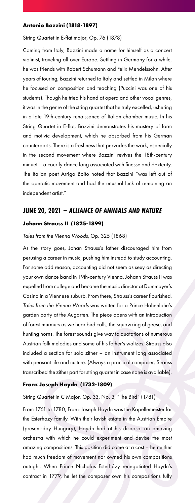#### **Antonio Bazzini (1818-1897)**

String Quartet in E-flat major, Op. 76 (1878)

Coming from Italy, Bazzini made a name for himself as a concert violinist, traveling all over Europe. Settling in Germany for a while, he was friends with Robert Schumann and Felix Mendelssohn. After years of touring, Bazzini returned to Italy and settled in Milan where he focused on composition and teaching (Puccini was one of his students). Though he tried his hand at opera and other vocal genres, it was in the genre of the string quartet that he truly excelled, ushering in a late 19th-century renaissance of Italian chamber music. In his String Quartet in E-flat, Bazzini demonstrates his mastery of form and motivic development, which he absorbed from his German counterparts. There is a freshness that pervades the work, especially in the second movement where Bazzini revives the 18th-century minuet – a courtly dance long associated with finesse and dexterity. The Italian poet Arrigo Boito noted that Bazzini "was left out of the operatic movement and had the unusual luck of remaining an independent artist."

### **JUNE 20, 2021 –** *ALLIANCE OF ANIMALS AND NATURE* **Johann Strauss II (1825-1899)**

#### *Tales from the Vienna Woods*, Op. 325 (1868)

As the story goes, Johan Strauss's father discouraged him from perusing a career in music, pushing him instead to study accounting. For some odd reason, accounting did not seem as sexy as directing your own dance band in 19th-century Vienna. Johann Strauss II was expelled from college and became the music director at Dommayer's Casino in a Viennese suburb. From there, Strauss's career flourished. *Tales from the Vienna Woods* was written for a Prince Hohenlohe's garden party at the Augarten. The piece opens with an introduction of forest murmurs as we hear bird calls, the squawking of geese, and hunting horns. The forest sounds give way to quotations of numerous Austrian folk melodies and some of his father's waltzes. Strauss also included a section for solo zither – an instrument long associated with peasant life and culture. (Always a practical composer, Strauss transcribed the zither part for string quartet in case none is available).

#### **Franz Joseph Haydn (1732-1809)**

String Quartet in C Major, Op. 33, No. 3, "The Bird" (1781)

From 1761 to 1780, Franz Joseph Haydn was the Kapellemeister for the Esterhazy family. With their lavish estate in the Austrian Empire (present-day Hungary), Haydn had at his disposal an amazing orchestra with which he could experiment and devise the most amazing compositions. This position did come at a cost – he neither had much freedom of movement nor owned his own compositions outright. When Prince Nicholas Esterházy renegotiated Haydn's contract in 1779, he let the composer own his compositions fully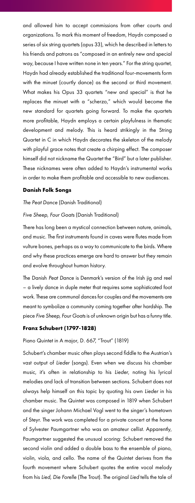and allowed him to accept commissions from other courts and organizations. To mark this moment of freedom, Haydn composed a series of six string quartets (opus 33), which he described in letters to his friends and patrons as "composed in an entirely new and special way, because I have written none in ten years." For the string quartet, Haydn had already established the traditional four-movements form with the minuet (courtly dance) as the second or third movement. What makes his Opus 33 quartets "new and special" is that he replaces the minuet with a "scherzo," which would become the new standard for quartets going forward. To make the quartets more profitable, Haydn employs a certain playfulness in thematic development and melody. This is heard strikingly in the String Quartet in C in which Haydn decorates the skeleton of the melody with playful grace notes that create a chirping effect. The composer himself did not nickname the Quartet the "Bird" but a later publisher. These nicknames were often added to Haydn's instrumental works in order to make them profitable and accessible to new audiences.

#### **Danish Folk Songs**

#### *The Peat Dance* (Danish Traditional)

#### *Five Sheep, Four Goats* (Danish Traditional)

There has long been a mystical connection between nature, animals, and music. The first instruments found in caves were flutes made from vulture bones, perhaps as a way to communicate to the birds. Where and why these practices emerge are hard to answer but they remain and evolve throughout human history.

The Danish *Peat Dance* is Denmark's version of the Irish jig and reel – a lively dance in duple meter that requires some sophisticated foot work. These are communal dances for couples and the movements are meant to symbolize a community coming together after hardship. The piece *Five Sheep, Four Goats* is of unknown origin but has a funny title.

#### **Franz Schubert (1797-1828)**

Piano Quintet in A major, D. 667, "Trout" (1819)

Schubert's chamber music often plays second fiddle to the Austrian's vast output of *Lieder* (songs). Even when we discuss his chamber music, it's often in relationship to his *Lieder*, noting his lyrical melodies and lack of transition between sections. Schubert does not always help himself on this topic by quoting his own *Lieder* in his chamber music. The Quintet was composed in 1819 when Schubert and the singer Johann Michael Vogl went to the singer's hometown of Steyr. The work was completed for a private concert at the home of Sylvester Paumgartner who was an amateur cellist. Apparently, Paumgartner suggested the unusual scoring: Schubert removed the second violin and added a double bass to the ensemble of piano, violin, viola, and cello. The name of the Quintet derives from the fourth movement where Schubert quotes the entire vocal melody from his *Lied, Die Forelle* (The Trout). The original *Lied* tells the tale of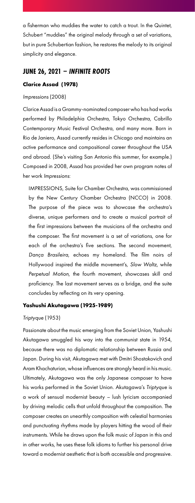a fisherman who muddies the water to catch a trout. In the Quintet, Schubert "muddies" the original melody through a set of variations, but in pure Schubertian fashion, he restores the melody to its original simplicity and elegance.

#### **JUNE 26, 2021 –** *INFINITE ROOTS*

#### **Clarice Assad (1978)**

#### *Impressions* (2008)

Clarice Assad is a Grammy-nominated composer who has had works performed by Philadelphia Orchestra, Tokyo Orchestra, Cabrillo Contemporary Music Festival Orchestra, and many more. Born in Rio de Janiero, Assad currently resides in Chicago and maintains an active performance and compositional career throughout the USA and abroad. (She's visiting San Antonio this summer, for example.) Composed in 2008, Assad has provided her own program notes of her work *Impressions*:

IMPRESSIONS, Suite for Chamber Orchestra, was commissioned by the New Century Chamber Orchestra (NCCO) in 2008. The purpose of the piece was to showcase the orchestra's diverse, unique performers and to create a musical portrait of the first impressions between the musicians of the orchestra and the composer. The first movement is a set of variations, one for each of the orchestra's five sections. The second movement, *Dança Brasileira*, echoes my homeland. The film noirs of Hollywood inspired the middle movement's, *Slow Waltz*, while *Perpetual Motion*, the fourth movement, showcases skill and proficiency. The last movement serves as a bridge, and the suite concludes by reflecting on its very opening.

#### **Yashushi Akutagawa (1925-1989)**

#### *Triptyque* (1953)

Passionate about the music emerging from the Soviet Union, Yashushi Akutagawa smuggled his way into the communist state in 1954, because there was no diplomatic relationship between Russia and Japan. During his visit, Akutagawa met with Dmitri Shostakovich and Aram Khachaturian, whose influences are strongly heard in his music. Ultimately, Akutagawa was the only Japanese composer to have his works performed in the Soviet Union. Akutagawa's *Triptyque* is a work of sensual modernist beauty – lush lyricism accompanied by driving melodic cells that unfold throughout the composition. The composer creates an unearthly composition with celestial harmonies and punctuating rhythms made by players hitting the wood of their instruments. While he draws upon the folk music of Japan in this and in other works, he uses these folk idioms to further his personal drive toward a modernist aesthetic that is both accessible and progressive.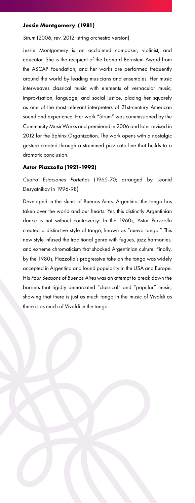#### **Jessie Montgomery (1981)**

#### *Strum* (2006; rev. 2012; string orchestra version)

Jessie Montgomery is an acclaimed composer, violinist, and educator. She is the recipient of the Leonard Bernstein Award from the ASCAP Foundation, and her works are performed frequently around the world by leading musicians and ensembles. Her music interweaves classical music with elements of vernacular music, improvisation, language, and social justice, placing her squarely as one of the most relevant interpreters of 21st-century American sound and experience. Her work "Strum" was commissioned by the Community MusicWorks and premiered in 2006 and later revised in 2012 for the Sphinx Organization. The work opens with a nostalgic gesture created through a strummed pizzicato line that builds to a dramatic conclusion.

#### **Astor Piazzolla (1921-1992)**

*Cuatro Estaciones Porteñas* (1965-70; arranged by Leonid Desyatnikov in 1996-98)

Developed in the slums of Buenos Aires, Argentina, the tango has taken over the world and our hearts. Yet, this distinctly Argentinian dance is not without controversy: In the 1960s, Astor Piazzolla created a distinctive style of tango, known as "nuevo tango." This new style infused the traditional genre with fugues, jazz harmonies, and extreme chromaticism that shocked Argentinian culture. Finally, by the 1980s, Piazzolla's progressive take on the tango was widely accepted in Argentina and found popularity in the USA and Europe. His *Four Seasons of Buenos Aires* was an attempt to break down the barriers that rigidly demarcated "classical" and "popular" music, showing that there is just as much tango in the music of Vivaldi as there is as much of Vivaldi in the tango.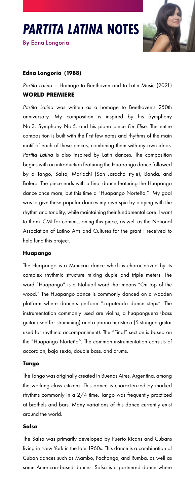



#### **Edna Longoria (1988)**

*Partita Latina* – Homage to Beethoven and to Latin Music (2021) **WORLD PREMIERE**

*Partita Latina* was written as a homage to Beethoven's 250th anniversary. My composition is inspired by his Symphony No.3, Symphony No.5, and his piano piece *Für Elise*. The entire composition is built with the first few notes and rhythms of the main motif of each of these pieces, combining them with my own ideas. *Partita Latina* is also inspired by Latin dances. The composition begins with an introduction featuring the Huapango dance followed by a Tango, Salsa, Mariachi (Son Jarocho style), Banda, and Bolero. The piece ends with a final dance featuring the Huapango dance once more, but this time a "Huapango Norteño." My goal was to give these popular dances my own spin by playing with the rhythm and tonality, while maintaining their fundamental core. I want to thank CMI for commissioning this piece, as well as the National Association of Latino Arts and Cultures for the grant I received to help fund this project.

#### **Huapango**

The Huapango is a Mexican dance which is characterized by its complex rhythmic structure mixing duple and triple meters. The word "Huapango" is a Nahuatl word that means "On top of the wood." The Huapango dance is commonly danced on a wooden platform where dancers perform "zapateado dance steps". The instrumentation commonly used are violins, a huapanguera (bass guitar used for strumming) and a jarana huasteca (5 stringed guitar used for rhythmic accompaniment). The "Final" section is based on the "Huapango Norteño''. The common instrumentation consists of accordion, bajo sexto, double bass, and drums.

#### **Tango**

The Tango was originally created in Buenos Aires, Argentina, among the working-class citizens. This dance is characterized by marked rhythms commonly in a 2/4 time. Tango was frequently practiced at brothels and bars. Many variations of this dance currently exist around the world.

#### **Salsa**

The Salsa was primarily developed by Puerto Ricans and Cubans living in New York in the late 1960s. This dance is a combination of Cuban dances such as Mambo, Pachanga, and Rumba, as well as some American-based dances. Salsa is a partnered dance where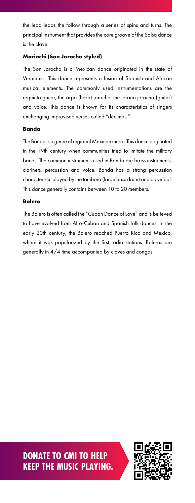the lead leads the follow through a series of spins and turns. The principal instrument that provides the core groove of the Salsa dance is the clave.

#### **Mariachi (Son Jarocho styled)**

The Son Jarocho is a Mexican dance originated in the state of Veracruz. This dance represents a fusion of Spanish and African musical elements. The commonly used instrumentations are the requinto guitar, the arpa (harp) jarocha, the jarana jarocha (guitar) and voice. This dance is known for its characteristics of singers exchanging improvised verses called "décimas."

#### **Banda**

The Banda is a genre of regional Mexican music. This dance originated in the 19th century when communities tried to imitate the military bands. The common instruments used in Banda are brass instruments, clarinets, percussion and voice. Banda has a strong percussion characteristic played by the tambora (large bass drum) and a cymbal. This dance generally contains between 10 to 20 members.

#### **Bolero**

The Bolero is often called the "Cuban Dance of Love" and is believed to have evolved from Afro-Cuban and Spanish folk dances. In the early 20th century, the Bolero reached Puerto Rico and Mexico, where it was popularized by the first radio stations. Boleros are generally in 4/4 time accompanied by claves and congas.

**DONATE TO CMI TO HELP KEEP THE MUSIC PLAYING.**

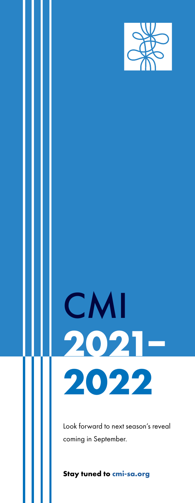

# CMI **2021– 2022**

Look forward to next season's reveal coming in September.

**Stay tuned to [cmi-sa.org](https://www.cmi-sa.org/)**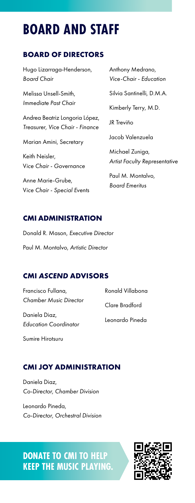# **BOARD AND STAFF**

### **BOARD OF DIRECTORS**

Hugo Lizarraga-Henderson, *Board Chair*

Melissa Unsell-Smith, *Immediate Past Chair*

Andrea Beatriz Longoria López, *Treasurer, Vice Chair - Finance*

Marian Amini, Secretary

Keith Neisler, V*ice Chair - Governance*

Anne Marie-Grube, V*ice Chair - Special Events* Anthony Medrano, *Vice-Chair - Education*

Silvia Santinelli, D.M.A.

Kimberly Terry, M.D.

JR Treviño

Jacob Valenzuela

Michael Zuniga, *Artist Faculty Representative*

Paul M. Montalvo, *Board Emeritus*

### **CMI ADMINISTRATION**

Donald R. Mason, *Executive Director* Paul M. Montalvo, *Artistic Director*

### **CMI** *ASCEND* **ADVISORS**

Francisco Fullana, *Chamber Music Director*

Daniela Diaz, *Education Coordinator* Ronald Villabona Clare Bradford Leonardo Pineda

Sumire Hirotsuru

### **CMI JOY ADMINISTRATION**

Daniela Diaz, *Co-Director, Chamber Division*

Leonardo Pineda, *Co-Director, Orchestral Division*

**DONATE TO CMI TO HELP KEEP THE MUSIC PLAYING.**

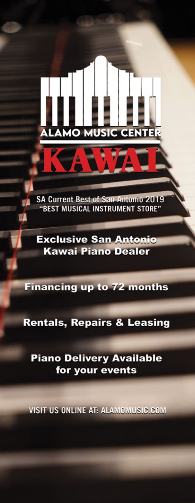SA Current Best of San Antonio 2019 "BEST MUSICAL INSTRUMENT STORE"

**AMO MUSIC CENTER** 

**Exclusive San Antonio Kawai Piano Dealer** 

**Financing up to 72 months** 

**Rentals, Repairs & Leasing** 

**Piano Delivery Available** for your events

VISIT US ONLINE AT: ALAMOMUSIC.COM